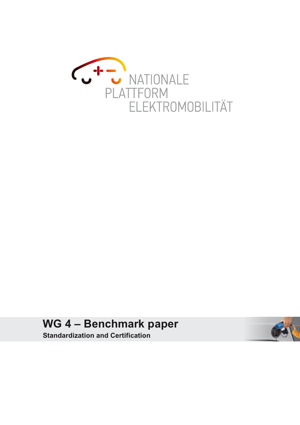

**WG 4 – Benchmark paper Standardization and Certification**

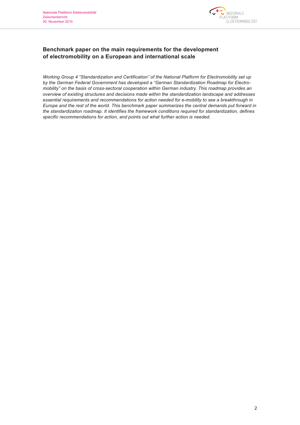

## **Benchmark paper on the main requirements for the development of electromobility on a European and international scale**

*Working Group 4 "Standardization and Certification" of the National Platform for Electromobility set up by the German Federal Government has developed a "German Standardization Roadmap for Electromobility" on the basis of cross-sectoral cooperation within German industry. This roadmap provides an overview of existing structures and decisions made within the standardization landscape and addresses essential requirements and recommendations for action needed for e-mobility to see a breakthrough in Europe and the rest of the world. This benchmark paper summarizes the central demands put forward in the standardization roadmap. It identifies the framework conditions required for standardization, defines specific recommendations for action, and points out what further action is needed.*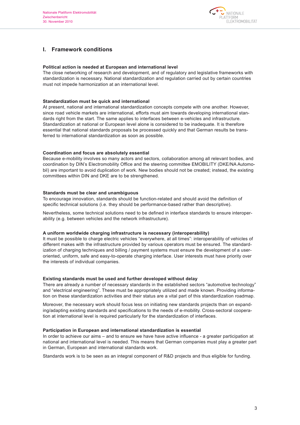

## **I. Framework conditions**

## **Political action is needed at European and international level**

The close networking of research and development, and of regulatory and legislative frameworks with standardization is necessary. National standardization and regulation carried out by certain countries must not impede harmonization at an international level.

#### **Standardization must be quick and international**

At present, national and international standardization concepts compete with one another. However, since road vehicle markets are international, efforts must aim towards developing international standards right from the start. The same applies to interfaces between e-vehicles and infrastructure. Standardization at national or European level alone is considered to be inadequate. It is therefore essential that national standards proposals be processed quickly and that German results be transferred to international standardization as soon as possible.

## **Coordination and focus are absolutely essential**

Because e-mobility involves so many actors and sectors, collaboration among all relevant bodies, and coordination by DIN's Electromobility Office and the steering committee EMOBILITY (DKE/NA Automobil) are important to avoid duplication of work. New bodies should not be created; instead, the existing committees within DIN and DKE are to be strengthened.

## **Standards must be clear and unambiguous**

To encourage innovation, standards should be function-related and should avoid the definition of specific technical solutions (i.e. they should be performance-based rather than descriptive).

Nevertheless, some technical solutions need to be defined in interface standards to ensure interoperability (e.g. between vehicles and the network infrastructure).

#### **A uniform worldwide charging infrastructure is necessary (interoperability)**

It must be possible to charge electric vehicles "everywhere, at all times": interoperability of vehicles of different makes with the infrastructure provided by various operators must be ensured. The standardization of charging techniques and billing / payment systems must ensure the development of a useroriented, uniform, safe and easy-to-operate charging interface. User interests must have priority over the interests of individual companies.

#### **Existing standards must be used and further developed without delay**

There are already a number of necessary standards in the established sectors "automotive technology" and "electrical engineering". These must be appropriately utilized and made known. Providing information on these standardization activities and their status are a vital part of this standardization roadmap.

Moreover, the necessary work should focus less on initiating new standards projects than on expanding/adapting existing standards and specifications to the needs of e-mobility. Cross-sectoral cooperation at international level is required particularly for the standardization of interfaces.

#### **Participation in European and international standardization is essential**

In order to achieve our aims – and to ensure we have have active influence - a greater participation at national and international level is needed. This means that German companies must play a greater part in German, European and international standards work.

Standards work is to be seen as an integral component of R&D projects and thus eligible for funding.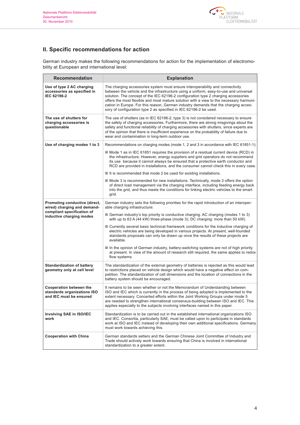

# **II. Specific recommendations for action**

German industry makes the following recommendations for action for the implementation of electromobility at European and international level:

| Recommendation                                                                                                         | <b>Explanation</b>                                                                                                                                                                                                                                                                                                                                                                                                                                                                                                  |
|------------------------------------------------------------------------------------------------------------------------|---------------------------------------------------------------------------------------------------------------------------------------------------------------------------------------------------------------------------------------------------------------------------------------------------------------------------------------------------------------------------------------------------------------------------------------------------------------------------------------------------------------------|
| Use of type 2 AC charging<br>accessories as specified in<br>IEC 62196-2                                                | The charging accessories system must ensure interoperability and connectivity<br>between the vehicle and the infrastructure using a uniform, easy-to-use and universal<br>solution. The concept of the IEC 62196-2 configuration type 2 charging accessories<br>offers the most flexible and most mature solution with a view to the necessary harmoni-<br>zation in Europe. For this reason, German industry demands that the charging acces-<br>sory of configuration type 2 as specified in IEC 62196-2 be used. |
| The use of shutters for<br>charging accessories is<br>questionable                                                     | The use of shutters (as in IEC 62196-2, type 3) is not considered necessary to ensure<br>the safety of charging accessories. Furthermore, there are strong misgivings about the<br>safety and functional reliability of charging accessories with shutters, since experts are<br>of the opinion that there is insufficient experience on the probability of failure due to<br>wear and contamination in long-term outdoor use.                                                                                      |
| Use of charging modes 1 to 3                                                                                           | Recommendations on charging modes (mode 1, 2 and 3 in accordance with IEC 61851-1):                                                                                                                                                                                                                                                                                                                                                                                                                                 |
|                                                                                                                        | ■ Mode 1 as in IEC 61851 requires the provision of a residual current device (RCD) in<br>the infrastructure. However, energy suppliers and grid operators do not recommend<br>its use because it cannot always be ensured that a protective earth conductor and<br>RCD are provided in installations, and the consumer cannot check this in every case.                                                                                                                                                             |
|                                                                                                                        | $\blacksquare$ It is recommended that mode 2 be used for existing installations.                                                                                                                                                                                                                                                                                                                                                                                                                                    |
|                                                                                                                        | ■ Mode 3 is recommended for new installations. Technically, mode 3 offers the option<br>of direct load management via the charging interface, including feeding energy back<br>into the grid, and thus meets the conditions for linking electric vehicles to the smart<br>grid.                                                                                                                                                                                                                                     |
| Promoting conductive (direct,<br>wired) charging and demand-<br>compliant specification of<br>inductive charging modes | German industry sets the following priorities for the rapid introduction of an interoper-<br>able charging infrastructure:                                                                                                                                                                                                                                                                                                                                                                                          |
|                                                                                                                        | <b>E</b> German industry's top priority is conductive charging. AC charging (modes 1 to 3)<br>with up to 63 A (44 kW) three-phase (mode 3); DC charging: more than 50 kW).                                                                                                                                                                                                                                                                                                                                          |
|                                                                                                                        | ■ Currently several basic technical framework conditions for the inductive charging of<br>electric vehicles are being developed in various projects. At present, well-founded<br>standards proposals can only be drawn up once the results of these projects are<br>available.                                                                                                                                                                                                                                      |
|                                                                                                                        | In the opinion of German industry, battery-switching systems are not of high priority<br>at present. In view of the amount of research still required, the same applies to redox<br>flow systems.                                                                                                                                                                                                                                                                                                                   |
| <b>Standardization of battery</b><br>geometry only at cell level                                                       | The standardization of the external geometry of batteries is rejected as this would lead<br>to restrictions placed on vehicle design which would have a negative effect on com-<br>petition. The standardization of cell dimensions and the location of connections in the<br>battery system should be encouraged.                                                                                                                                                                                                  |
| <b>Cooperation between the</b><br>standards organizations ISO<br>and IEC must be ensured                               | It remains to be seen whether or not the Memorandum of Understanding between<br>ISO and IEC which is currently in the process of being adopted is implemented to the<br>extent necessary. Concerted efforts within the Joint Working Groups under mode 5<br>are needed to strengthen international consensus-building between ISO and IEC. This<br>applies especially to the subjects involving interfaces named in this paper.                                                                                     |
| Involving SAE in ISO/IEC<br>work                                                                                       | Standardization is to be carried out in the established international organizations ISO<br>and IEC. Consortia, particularly SAE, must be called upon to participate in standards<br>work at ISO and IEC instead of developing their own additional specifications. Germany<br>must work towards achieving this.                                                                                                                                                                                                     |
| <b>Cooperation with China</b>                                                                                          | German standards setters and the German Chinese Joint Committee of Industry and<br>Trade should actively work towards ensuring that China is involved in international<br>standardization to a greater extent.                                                                                                                                                                                                                                                                                                      |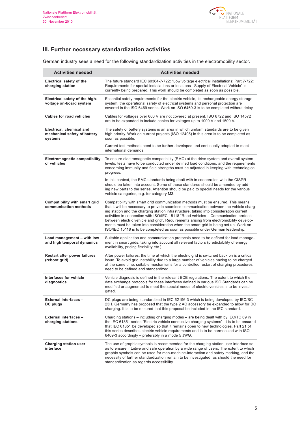

# **III. Further necessary standardization activities**

German industry sees a need for the following standardization activities in the electromobility sector.

| <b>Activities needed</b>                                            | <b>Activities needed</b>                                                                                                                                                                                                                                                                                                                                                                                                                                                                                                                                                                                                     |
|---------------------------------------------------------------------|------------------------------------------------------------------------------------------------------------------------------------------------------------------------------------------------------------------------------------------------------------------------------------------------------------------------------------------------------------------------------------------------------------------------------------------------------------------------------------------------------------------------------------------------------------------------------------------------------------------------------|
| <b>Electrical safety of the</b><br>charging station                 | The future standard IEC 60364-7-722: "Low voltage electrical installations: Part 7-722:<br>Requirements for special installations or locations -Supply of Electrical Vehicle" is<br>currently being prepared. This work should be completed as soon as possible.                                                                                                                                                                                                                                                                                                                                                             |
| Electrical safety of the high-<br>voltage on-board system           | Essential safety requirements for the electric vehicle, its rechargeable energy storage<br>system, the operational safety of electrical systems and personal protection are<br>covered in the ISO 6469 series. Work on ISO 6469-3 is to be completed without delay.                                                                                                                                                                                                                                                                                                                                                          |
| <b>Cables for road vehicles</b>                                     | Cables for voltages over 600 V are not covered at present. ISO 6722 and ISO 14572<br>are to be expanded to include cables for voltages up to 1000 V and 1500 V.                                                                                                                                                                                                                                                                                                                                                                                                                                                              |
| Electrical, chemical and<br>mechanical safety of battery<br>systems | The safety of battery systems is an area in which uniform standards are to be given<br>high priority. Work on current projects (ISO 12405) in this area is to be completed as<br>soon as possible.                                                                                                                                                                                                                                                                                                                                                                                                                           |
|                                                                     | Current test methods need to be further developed and continually adapted to meet<br>international demands.                                                                                                                                                                                                                                                                                                                                                                                                                                                                                                                  |
| <b>Electromagnetic compatibility</b><br>of vehicles                 | To ensure electromagnetic compatibility (EMC) at the drive system and overall system<br>levels, tests have to be conducted under defined load conditions, and the requirements<br>concerning immunity and field strengths must be adjusted in keeping with technological<br>progress.                                                                                                                                                                                                                                                                                                                                        |
|                                                                     | In this context, the EMC standards being dealt with in cooperation with the CISPR<br>should be taken into account. Some of these standards should be amended by add-<br>ing new parts to the series. Attention should be paid to special needs for the various<br>vehicle categories, e.g. for category M3.                                                                                                                                                                                                                                                                                                                  |
| Compatibility with smart grid<br>communication methods              | Compatibility with smart grid communication methods must be ensured. This means<br>that it will be necessary to provide seamless communication between the vehicle charg-<br>ing station and the charging station infrastructure, taking into consideration current<br>activities in connection with ISO/IEC 15118 "Road vehicles - Communication protocol<br>between electric vehicle and grid". Requirements arising from electromobility develop-<br>ments must be taken into consideration when the smart grid is being set up. Work on<br>ISO/IEC 15118 is to be completed as soon as possible under German leadership. |
| Load management - with low<br>and high temporal dynamics            | Suitable application and communication protocols need to be defined for load manage-<br>ment in smart grids, taking into account all relevant factors (predictability of energy<br>availability, pricing flexibility etc.).                                                                                                                                                                                                                                                                                                                                                                                                  |
| Restart after power failures<br>(reboot grid)                       | After power failures, the time at which the electric grid is switched back on is a critical<br>issue. To avoid grid instability due to a large number of vehicles having to be charged<br>at the same time, suitable mechanisms for a controlled restart of charging procedures<br>need to be defined and standardized.                                                                                                                                                                                                                                                                                                      |
| Interfaces for vehicle<br>diagnostics                               | Vehicle diagnosis is defined in the relevant ECE regulations. The extent to which the<br>data exchange protocols for these interfaces defined in various ISO Standards can be<br>modified or augmented to meet the special needs of electric vehicles is to be investi-<br>gated.                                                                                                                                                                                                                                                                                                                                            |
| <b>External interfaces -</b><br>DC plugs                            | DC plugs are being standardized in IEC 62196-3 which is being developed by IEC/SC<br>23H. Germany has proposed that the type 2 AC accessory be expanded to allow for DC<br>charging. It is to be ensured that this proposal be included in the IEC standard.                                                                                                                                                                                                                                                                                                                                                                 |
| <b>External interfaces -</b><br>charging stations                   | Charging stations – including charging modes – are being dealt with by IEC/TC 69 in<br>the IEC 61851 series "Electric vehicle conductive charging systems". It is to be ensured<br>that IEC 61851 be developed so that it remains open to new technologies. Part 21 of<br>this series describes electric vehicle requirements and is to be harmonized with ISO<br>6469-3 accordingly - preferably in a mode 5 JWG.                                                                                                                                                                                                           |
| <b>Charging station user</b><br>interface                           | The use of graphic symbols is recommended for the charging station user interface so<br>as to ensure intuitive and safe operation by a wide range of users. The extent to which<br>graphic symbols can be used for man-machine-interaction and safety marking, and the<br>necessity of further standardization remain to be investigated, as should the need for<br>standardization as regards accessibility.                                                                                                                                                                                                                |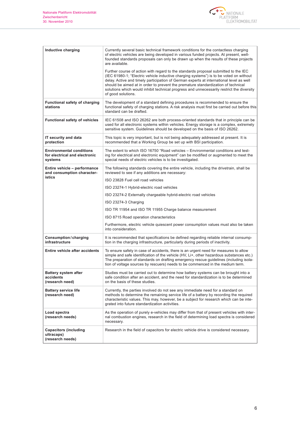

| Inductive charging                                                          | Currently several basic technical framework conditions for the contactless charging<br>of electric vehicles are being developed in various funded projects. At present, well-<br>founded standards proposals can only be drawn up when the results of these projects<br>are available.                                                                                                                                                                                           |
|-----------------------------------------------------------------------------|----------------------------------------------------------------------------------------------------------------------------------------------------------------------------------------------------------------------------------------------------------------------------------------------------------------------------------------------------------------------------------------------------------------------------------------------------------------------------------|
|                                                                             | Further course of action with regard to the standards proposal submitted to the IEC<br>(IEC 61980-1; "Electric vehicle inductive charging systems") is to be voted on without<br>delay. Active and timely participation of German experts at international level as well<br>should be aimed at in order to prevent the premature standardization of technical<br>solutions which would inhibit technical progress and unnecessarily restrict the diversity<br>of good solutions. |
| <b>Functional safety of charging</b><br>stations                            | The development of a standard defining procedures is recommended to ensure the<br>functional safety of charging stations. A risk analysis must first be carried out before this<br>standard can be drafted.                                                                                                                                                                                                                                                                      |
| <b>Functional safety of vehicles</b>                                        | IEC 61508 and ISO 26262 are both process-oriented standards that in principle can be<br>used for all electronic systems within vehicles. Energy storage is a complex, extremely<br>sensitive system. Guidelines should be developed on the basis of ISO 26262.                                                                                                                                                                                                                   |
| IT security and data<br>protection                                          | This topic is very important, but is not being adequately addressed at present. It is<br>recommended that a Working Group be set up with BSI participation.                                                                                                                                                                                                                                                                                                                      |
| <b>Environmental conditions</b><br>for electrical and electronic<br>systems | The extent to which ISO 16750 "Road vehicles - Environmental conditions and test-<br>ing for electrical and electronic equipment" can be modified or augmented to meet the<br>special needs of electric vehicles is to be investigated.                                                                                                                                                                                                                                          |
| Entire vehicle - performance<br>and consumption character-<br>istics        | The following standards covering the entire vehicle, including the drivetrain, shall be<br>reviewed to see if any additions are necessary:                                                                                                                                                                                                                                                                                                                                       |
|                                                                             | ISO 23828 Fuel cell road vehicles                                                                                                                                                                                                                                                                                                                                                                                                                                                |
|                                                                             | ISO 23274-1 Hybrid-electric road vehicles                                                                                                                                                                                                                                                                                                                                                                                                                                        |
|                                                                             | ISO 23274-2 Externally chargeable hybrid-electric road vehicles                                                                                                                                                                                                                                                                                                                                                                                                                  |
|                                                                             | ISO 23274-3 Charging                                                                                                                                                                                                                                                                                                                                                                                                                                                             |
|                                                                             | ISO TR 11954 and ISO TR 11955 Charge balance measurement                                                                                                                                                                                                                                                                                                                                                                                                                         |
|                                                                             | ISO 8715 Road operation characteristics                                                                                                                                                                                                                                                                                                                                                                                                                                          |
|                                                                             | Furthermore, electric vehicle quiescent power consumption values must also be taken<br>into consideration.                                                                                                                                                                                                                                                                                                                                                                       |
| Consumption/charging<br>infrastructure                                      | It is recommended that specifications be defined regarding reliable internal consump-<br>tion in the charging infrastructure, particularly during periods of inactivity.                                                                                                                                                                                                                                                                                                         |
| <b>Entire vehicle after accidents</b>                                       | To ensure safety in case of accidents, there is an urgent need for measures to allow<br>simple and safe identification of the vehicle (HV, Li+, other hazardous substances etc.)<br>The preparation of standards on drafting emergency rescue guidelines (including isola-<br>tion of voltage sources by rescuers) needs to be commenced in the medium term.                                                                                                                     |
| <b>Battery system after</b><br>accidents<br>(research need)                 | Studies must be carried out to determine how battery systems can be brought into a<br>safe condition after an accident, and the need for standardization is to be determined<br>on the basis of these studies.                                                                                                                                                                                                                                                                   |
| <b>Battery service life</b><br>(research need)                              | Currently, the parties involved do not see any immediate need for a standard on<br>methods to determine the remaining service life of a battery by recording the required<br>characteristic values. This may, however, be a subject for research which can be inte-<br>grated into future standardization activities.                                                                                                                                                            |
| Load spectra<br>(research needs)                                            | As the operation of purely e-vehicles may differ from that of present vehicles with inter-<br>nal combustion engines, research in the field of determining load spectra is considered<br>necessary.                                                                                                                                                                                                                                                                              |
| <b>Capacitors (including</b><br>ultracaps)<br>(research needs)              | Research in the field of capacitors for electric vehicle drive is considered necessary.                                                                                                                                                                                                                                                                                                                                                                                          |